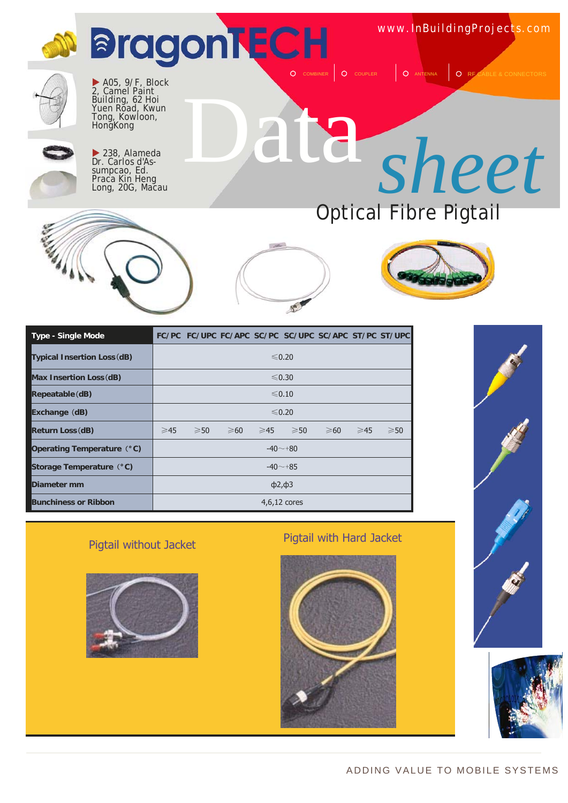





| <b>Type - Single Mode</b>          |                    |                |                |  | FC/PC FC/UPC FC/APC SC/PC SC/UPC SC/APC ST/PC ST/UPC |                |                |                |
|------------------------------------|--------------------|----------------|----------------|--|------------------------------------------------------|----------------|----------------|----------------|
| <b>Typical Insertion Loss (dB)</b> | $\leq 0.20$        |                |                |  |                                                      |                |                |                |
| Max Insertion Loss (dB)            | $\leq 0.30$        |                |                |  |                                                      |                |                |                |
| Repeatable (dB)                    | $\leq 0.10$        |                |                |  |                                                      |                |                |                |
| Exchange (dB)                      | $\leq 0.20$        |                |                |  |                                                      |                |                |                |
| Return Loss (dB)                   | $\geq 45$          | $\geqslant$ 50 | $\geqslant 60$ |  | $≥45$ $≥50$                                          | $\geqslant 60$ | $\geqslant$ 45 | $\geqslant$ 50 |
| Operating Temperature (°C)         |                    |                |                |  | $-40 - 80$                                           |                |                |                |
| Storage Temperature (°C)           | $-40 - +85$        |                |                |  |                                                      |                |                |                |
| Diameter mm                        | $\phi$ 2, $\phi$ 3 |                |                |  |                                                      |                |                |                |
| <b>Bunchiness or Ribbon</b>        |                    |                |                |  | $4,6,12$ cores                                       |                |                |                |



### Pigtail without Jacket Pigtail with Hard Jacket





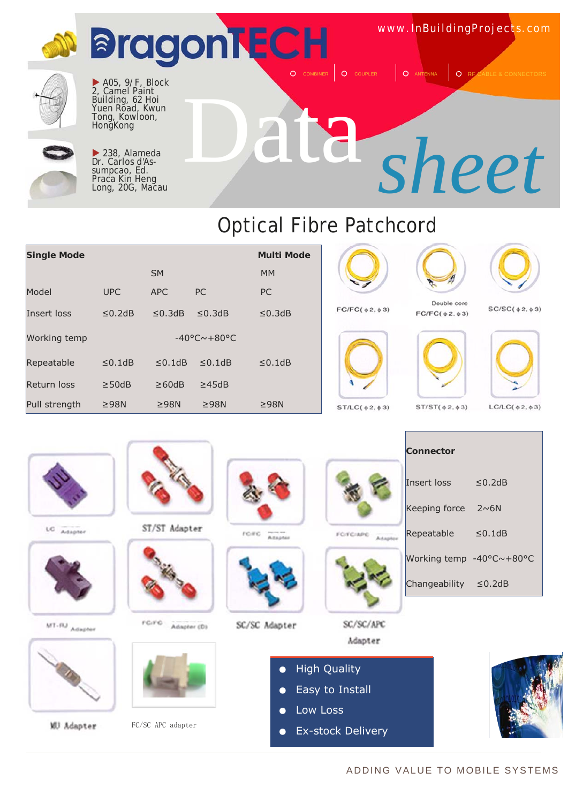

### Optical Fibre Patchcord

| <b>Single Mode</b> |              |              |                              | <b>Multi Mode</b> |
|--------------------|--------------|--------------|------------------------------|-------------------|
|                    |              | <b>SM</b>    |                              | <b>MM</b>         |
| Model              | <b>UPC</b>   | <b>APC</b>   | <b>PC</b>                    | <b>PC</b>         |
| Insert loss        | $\leq$ 0.2dB | $\leq$ 0.3dB | $\leq$ 0.3dB                 | $\leq$ 0.3dB      |
| Working temp       |              |              | $-40^{\circ}$ C $\sim$ +80°C |                   |
| Repeatable         | $\leq$ 0.1dB | $< 0.1$ dB   | $< 0.1$ dB                   | $\leq$ 0.1dB      |
| <b>Return loss</b> | $\geq$ 50dB  | $\geq 60$ dB | $\geq$ 45dB                  |                   |
| Pull strength      | $\geq$ 98N   | $\geq$ 98N   | $\geq$ 98N                   | $\geq$ 98N        |



 $FC/FC(62.63)$ 



Double core

 $FC/FC({\text{\texttt{0}}}\,2,{\text{\texttt{0}}}\,3)$ 

 $ST/ST(62, 63)$ 



 $SC/SC($   $\phi$  2,  $\phi$  3)







 $LC/LC($   $\phi$  2,  $\phi$  3)

LC Adapter



MT-RJ Adapter



**WJ** Adapter



ST/ST Adapter



 $FG/FO$  Adapter (D)



FC/SC APC adapter



 $r$ c. $r$ c. Atapter



SC/SC Adapter



FOTCIMO Asapter



| Connector                  |              |
|----------------------------|--------------|
| Insert loss                | $\leq$ 0.2dB |
| Keeping force $2~\sim 6N$  |              |
| Repeatable                 | $\leq$ 0.1dB |
| Working temp -40°C~+80°C   |              |
| Changeability $\leq$ 0.2dB |              |

SC/SC/APC Adapter

- **High Quality**
- Easy to Install
- Low Loss
- **Ex-stock Delivery**



### ADDING VALUE TO MOBILE SYSTEMS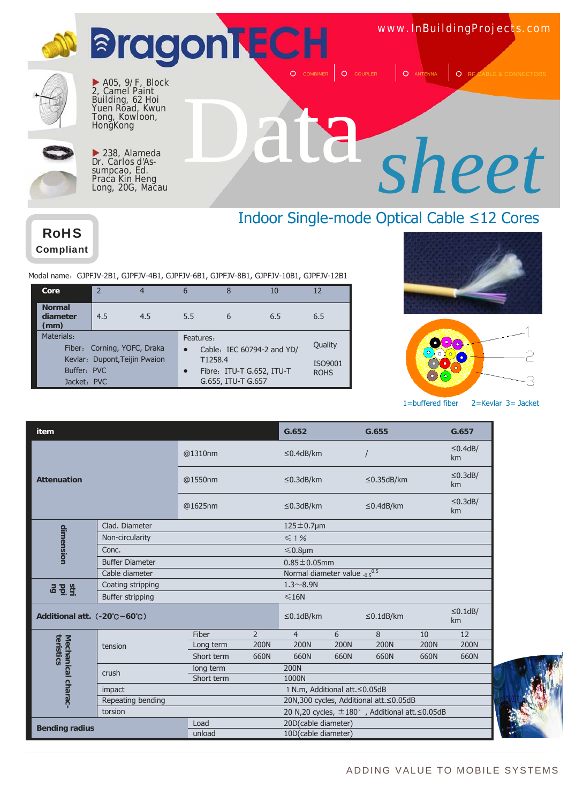



 $\blacktriangleright$  A05, 9/F, Block 2, Camel Paint Building, 62 Hoi Yuen Road, Kwun Tong, Kowloon, Hong<sub>Kong</sub>



 $\blacktriangleright$  238, Alameda Dr. Carlos d'Assumpcao, Ed. Praca Kin Heng Long, 20G, Macau

# Data *sheet*

### Indoor Single-mode Optical Cable ≤12 Cores

RoHS Compliant

Modal name: GJPFJV-2B1, GJPFJV-4B1, GJPFJV-6B1, GJPFJV-8B1, GJPFJV-10B1, GJPFJV-12B1

| Core                              | $\overline{\phantom{a}}$      | 4   | 6         | 8                  | 10                         | 12          |
|-----------------------------------|-------------------------------|-----|-----------|--------------------|----------------------------|-------------|
| <b>Normal</b><br>diameter<br>(mm) | 4.5                           | 4.5 | 5.5       | 6                  | 6.5                        | 6.5         |
| Materials:                        |                               |     | Features: |                    |                            |             |
|                                   | Fiber: Corning, YOFC, Draka   |     | $\bullet$ |                    | Cable: IEC 60794-2 and YD/ | Quality     |
|                                   | Kevlar: Dupont, Teijin Pwaion |     | T1258.4   |                    |                            | ISO9001     |
| Buffer: PVC                       |                               |     | $\bullet$ |                    | Fibre: ITU-T G.652, ITU-T  | <b>ROHS</b> |
| Jacket: PVC                       |                               |     |           | G.655, ITU-T G.657 |                            |             |





1=buffered fiber 2=Kevlar 3= Jacket

| item                                           |                        |            |                | G.652                             |             | G.655                                                     |             | G.657               |
|------------------------------------------------|------------------------|------------|----------------|-----------------------------------|-------------|-----------------------------------------------------------|-------------|---------------------|
|                                                |                        | @1310nm    |                | $\leq$ 0.4dB/km                   |             |                                                           |             | $\leq$ 0.4dB/<br>km |
| <b>Attenuation</b>                             |                        | @1550nm    |                | $\leq$ 0.3dB/km                   |             | $\leq$ 0.35dB/km                                          |             | $\leq$ 0.3dB/<br>km |
|                                                |                        | @1625nm    |                | $\leq$ 0.3dB/km                   |             | $\leq$ 0.4dB/km                                           |             | $\leq$ 0.3dB/<br>km |
|                                                | Clad. Diameter         |            |                | $125 \pm 0.7$ µm                  |             |                                                           |             |                     |
|                                                | Non-circularity        |            |                | $\leq 1\%$                        |             |                                                           |             |                     |
| dimension                                      | Conc.                  |            |                | $\leq 0.8$ µm                     |             |                                                           |             |                     |
|                                                | <b>Buffer Diameter</b> |            |                | $0.85 \pm 0.05$ mm                |             |                                                           |             |                     |
|                                                | Cable diameter         |            |                | Normal diameter value $0.5^{0.5}$ |             |                                                           |             |                     |
| <b>SEE</b>                                     | Coating stripping      |            |                | $1.3 - 8.9N$                      |             |                                                           |             |                     |
|                                                | Buffer stripping       |            |                | $\leq$ 16N                        |             |                                                           |             |                     |
| Additional att. $(.20^{\circ}C - 60^{\circ}C)$ |                        |            |                | $\leq$ 0.1dB/km                   |             | $\leq$ 0.1dB/km                                           |             | $\leq$ 0.1dB/<br>km |
|                                                |                        | Fiber      | $\overline{2}$ | $\overline{4}$                    | 6           | 8                                                         | 10          | 12                  |
|                                                | tension                | Long term  | 200N           | <b>200N</b>                       | <b>200N</b> | <b>200N</b>                                               | <b>200N</b> | <b>200N</b>         |
| teristics<br>Mechanical charac-                |                        | Short term | 660N           | 660N                              | 660N        | 660N                                                      | 660N        | 660N                |
|                                                | crush                  | long term  |                | <b>200N</b>                       |             |                                                           |             |                     |
|                                                |                        | Short term |                | 1000N                             |             |                                                           |             |                     |
|                                                | impact                 |            |                | 1 N.m, Additional att. ≤0.05dB    |             |                                                           |             |                     |
|                                                | Repeating bending      |            |                |                                   |             | 20N,300 cycles, Additional att. ≤0.05dB                   |             |                     |
|                                                | torsion                |            |                |                                   |             | 20 N,20 cycles, $\pm$ 180°, Additional att. $\leq$ 0.05dB |             |                     |
| <b>Bending radius</b>                          |                        | Load       |                | 20D(cable diameter)               |             |                                                           |             |                     |
|                                                |                        | unload     |                | 10D(cable diameter)               |             |                                                           |             |                     |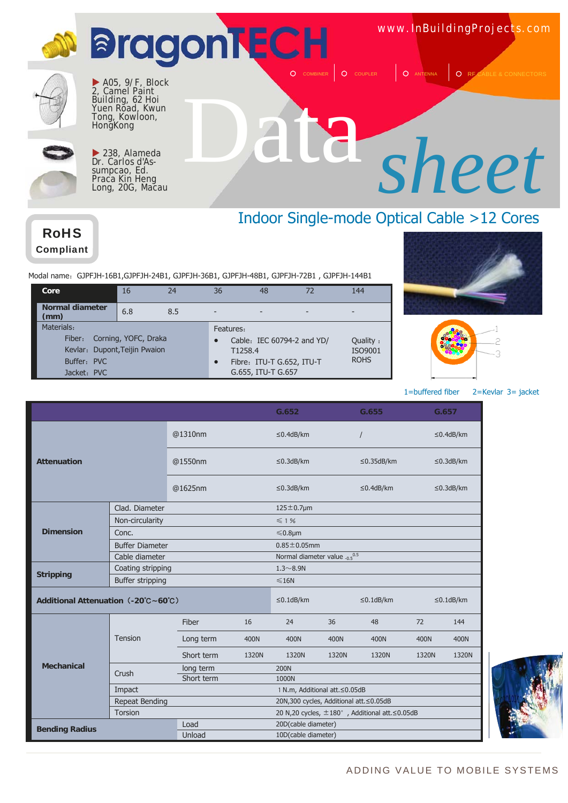



 $\blacktriangleright$  238, Alameda Dr. Carlos d'Assumpcao, Ed. Praca Kin Heng Long, 20G, Macau

### Indoor Single-mode Optical Cable >12 Cores

RoHS Compliant

Modal name: GJPFJH-16B1, GJPFJH-24B1, GJPFJH-36B1, GJPFJH-48B1, GJPFJH-72B1, GJPFJH-144B1

| Core                                                                                | 16                   | 24  | 36                                | 48                                              | 72                         | 144                                |
|-------------------------------------------------------------------------------------|----------------------|-----|-----------------------------------|-------------------------------------------------|----------------------------|------------------------------------|
| Normal diameter<br>(mm)                                                             | 6.8                  | 8.5 |                                   |                                                 |                            |                                    |
| Materials:<br>Fiber:<br>Kevlar: Dupont, Teijin Pwaion<br>Buffer: PVC<br>Jacket: PVC | Corning, YOFC, Draka |     | Features:<br>T1258.4<br>$\bullet$ | Fibre: ITU-T G.652, ITU-T<br>G.655, ITU-T G.657 | Cable: IEC 60794-2 and YD/ | Quality:<br>ISO9001<br><b>ROHS</b> |





1=buffered fiber 2=Kevlar 3= jacket

|                                     |                         |            |              | G.652                                     |       | G.655                                          |       | G.657           |
|-------------------------------------|-------------------------|------------|--------------|-------------------------------------------|-------|------------------------------------------------|-------|-----------------|
|                                     |                         | @1310nm    |              | $\leq$ 0.4dB/km                           |       | $\prime$                                       |       | $\leq$ 0.4dB/km |
| <b>Attenuation</b>                  |                         | @1550nm    |              | $\leq$ 0.3dB/km                           |       | $\leq$ 0.35dB/km                               |       | $\leq$ 0.3dB/km |
|                                     |                         | @1625nm    |              | $\leq$ 0.3dB/km                           |       | $\leq$ 0.4dB/km                                |       | $\leq$ 0.3dB/km |
|                                     | Clad. Diameter          |            |              | $125 \pm 0.7$ µm                          |       |                                                |       |                 |
|                                     | Non-circularity         |            |              | $\leq 1\%$                                |       |                                                |       |                 |
| <b>Dimension</b>                    | Conc.                   |            |              | ≤0.8µm                                    |       |                                                |       |                 |
|                                     | <b>Buffer Diameter</b>  |            |              | $0.85 \pm 0.05$ mm                        |       |                                                |       |                 |
|                                     | Cable diameter          |            |              | Normal diameter value .0.5 <sup>0.5</sup> |       |                                                |       |                 |
| Coating stripping                   |                         |            | $1.3 - 8.9N$ |                                           |       |                                                |       |                 |
| <b>Stripping</b>                    | <b>Buffer stripping</b> |            |              | $\leq 16N$                                |       |                                                |       |                 |
| Additional Attenuation (-20°C~60°C) |                         |            |              | $\leq$ 0.1dB/km                           |       | $\leq$ 0.1dB/km                                |       | $\leq$ 0.1dB/km |
|                                     |                         | Fiber      | 16           | 24                                        | 36    | 48                                             | 72    | 144             |
|                                     | Tension                 | Long term  | 400N         | 400N                                      | 400N  | 400N                                           | 400N  | 400N            |
|                                     |                         | Short term | 1320N        | 1320N                                     | 1320N | 1320N                                          | 1320N | 1320N           |
| <b>Mechanical</b>                   | Crush                   | long term  |              | <b>200N</b>                               |       |                                                |       |                 |
|                                     |                         | Short term |              | 1000N                                     |       |                                                |       |                 |
|                                     | Impact                  |            |              | 1 N.m, Additional att. ≤0.05dB            |       |                                                |       |                 |
|                                     | Repeat Bending          |            |              | 20N,300 cycles, Additional att. ≤0.05dB   |       |                                                |       |                 |
|                                     | Torsion                 |            |              |                                           |       | 20 N,20 cycles, ±180°, Additional att. ≤0.05dB |       |                 |
| <b>Bending Radius</b>               |                         | Load       |              | 20D(cable diameter)                       |       |                                                |       |                 |
|                                     |                         | Unload     |              | 10D(cable diameter)                       |       |                                                |       |                 |

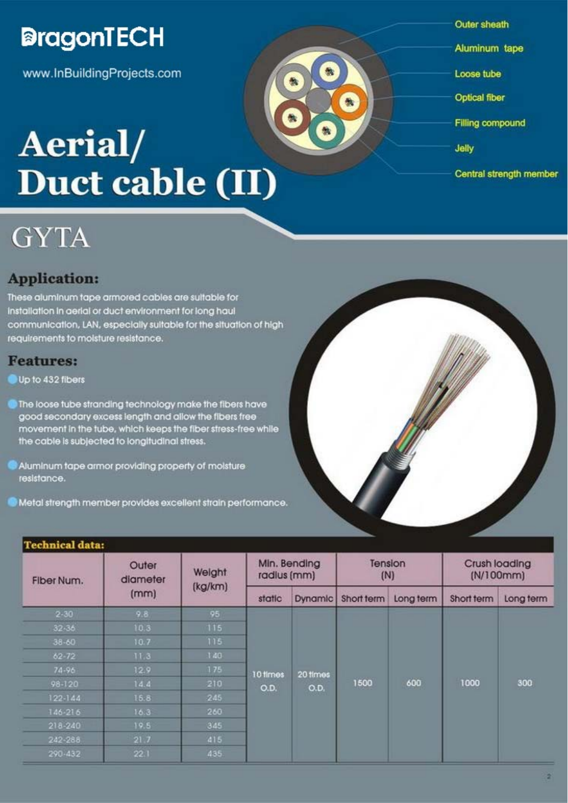

www.InBuildingProjects.com

## Aerial/ Duct cable (II)

- **Outer sheath**
- Aluminum tape
- Loose tube
- Optical fiber
- **Filling compound**
- Jelly
- Central strength member

### **Application:**

**GYTA** 

These aluminum tape armored cables are suitable for Installation in aerial or duct environment for long haul communication, LAN, especially sultable for the situation of high requirements to moisture resistance.

### **Features:**

### Up to 432 fibers

- The loose tube stranding technology make the fibers have good secondary excess length and allow the fibers free movement in the tube, which keeps the fiber stress-free while the cable is subjected to longitudinal stress.
- Aluminum tape armor providing property of moisture resistance.
- Metal strength member provides excellent strain performance.

### **Technical data:**

| Fiber Num.  | Outer<br>diameter | Weight  |          | Min. Bending<br>radius (mm)<br><b>Dynamic</b><br>Short term<br>static |      | Tension<br>(N) |            | Crush loading<br>(N/100mm) |  |
|-------------|-------------------|---------|----------|-----------------------------------------------------------------------|------|----------------|------------|----------------------------|--|
|             | (mm)              | (kg/km) |          |                                                                       |      | Long term      | Short term | Long term                  |  |
| $2 - 30$    | 9.8               | 95      |          |                                                                       |      |                |            |                            |  |
| $32 - 36$   | 10.3              | $115$   |          | 20 times<br>O.D.                                                      | 1500 | 600            | 1000       | 300                        |  |
| $38 - 60$   | 10.7              | 115.    |          |                                                                       |      |                |            |                            |  |
| $62 - 72$   | 11.3              | 140.    |          |                                                                       |      |                |            |                            |  |
| 74-96       | 12.9.             | 175     | 10 fimes |                                                                       |      |                |            |                            |  |
| 98-120      | 14.4              | 210     | O.D.     |                                                                       |      |                |            |                            |  |
| 122-144     | 15.8              | 245     |          |                                                                       |      |                |            |                            |  |
| 146-216     | 16.3              | 260     |          |                                                                       |      |                |            |                            |  |
| $218 - 240$ | 19.5              | 345     |          |                                                                       |      |                |            |                            |  |
| 242-288     | 21.7              | 415     |          |                                                                       |      |                |            |                            |  |
| 290-432     | 22.1              | 435     |          |                                                                       |      |                |            |                            |  |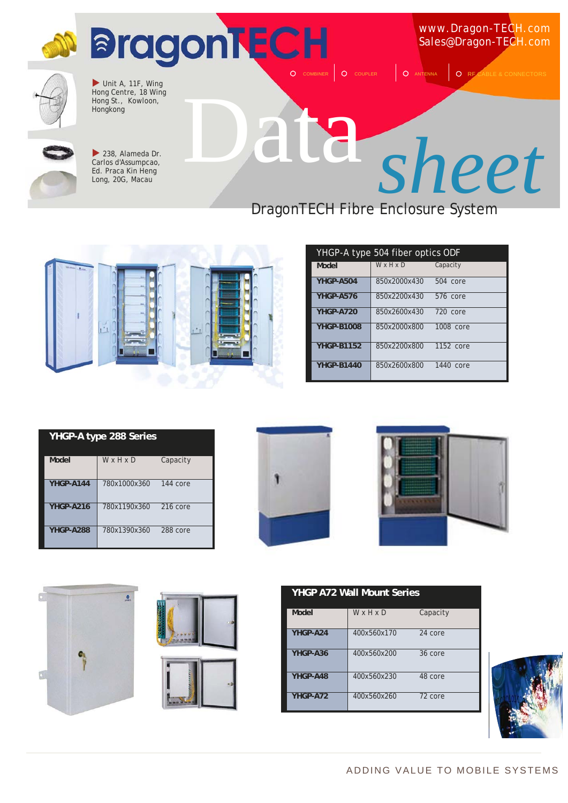



 $\blacktriangleright$  238, Alameda Dr. Carlos d'Assumpcao, Ed. Praca Kin Heng Long, 20G, Macau

### DragonTECH Fibre Enclosure System



| YHGP-A type 504 fiber optics ODF |              |           |  |  |
|----------------------------------|--------------|-----------|--|--|
| Model                            | WxHxD        | Capacity  |  |  |
| YHGP-A504                        | 850x2000x430 | 504 core  |  |  |
| YHGP-A576                        | 850x2200x430 | 576 core  |  |  |
| YHGP-A720                        | 850x2600x430 | 720 core  |  |  |
| <b>YHGP-B1008</b>                | 850x2000x800 | 1008 core |  |  |
| <b>YHGP-B1152</b>                | 850x2200x800 | 1152 core |  |  |
| <b>YHGP-B1440</b>                | 850x2600x800 | 1440 core |  |  |

| YHGP-A type 288 Series |              |          |  |  |  |
|------------------------|--------------|----------|--|--|--|
| Model                  | W x H x D    | Capacity |  |  |  |
| YHGP-A144              | 780x1000x360 | 144 core |  |  |  |
| YHGP-A216              | 780x1190x360 | 216 core |  |  |  |
| YHGP-A288              | 780x1390x360 | 288 core |  |  |  |











| Model    | WxHxD       | Capacity |
|----------|-------------|----------|
| YHGP-A24 | 400x560x170 | 24 core  |
| YHGP-A36 | 400x560x200 | 36 core  |
| YHGP-A48 | 400x560x230 | 48 core  |
| YHGP-A72 | 400x560x260 | 72 core  |

**YHGP A72 Wall Mount Series**